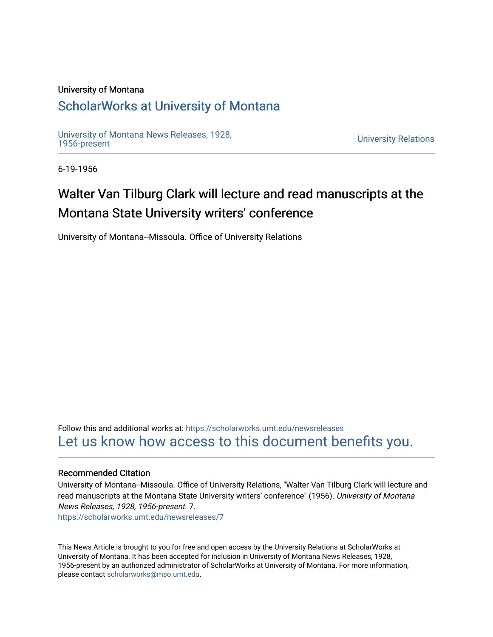## University of Montana

## [ScholarWorks at University of Montana](https://scholarworks.umt.edu/)

[University of Montana News Releases, 1928,](https://scholarworks.umt.edu/newsreleases) 

**University Relations** 

6-19-1956

## Walter Van Tilburg Clark will lecture and read manuscripts at the Montana State University writers' conference

University of Montana--Missoula. Office of University Relations

Follow this and additional works at: [https://scholarworks.umt.edu/newsreleases](https://scholarworks.umt.edu/newsreleases?utm_source=scholarworks.umt.edu%2Fnewsreleases%2F7&utm_medium=PDF&utm_campaign=PDFCoverPages) [Let us know how access to this document benefits you.](https://goo.gl/forms/s2rGfXOLzz71qgsB2) 

## Recommended Citation

University of Montana--Missoula. Office of University Relations, "Walter Van Tilburg Clark will lecture and read manuscripts at the Montana State University writers' conference" (1956). University of Montana News Releases, 1928, 1956-present. 7. [https://scholarworks.umt.edu/newsreleases/7](https://scholarworks.umt.edu/newsreleases/7?utm_source=scholarworks.umt.edu%2Fnewsreleases%2F7&utm_medium=PDF&utm_campaign=PDFCoverPages)

This News Article is brought to you for free and open access by the University Relations at ScholarWorks at University of Montana. It has been accepted for inclusion in University of Montana News Releases, 1928, 1956-present by an authorized administrator of ScholarWorks at University of Montana. For more information, please contact [scholarworks@mso.umt.edu.](mailto:scholarworks@mso.umt.edu)